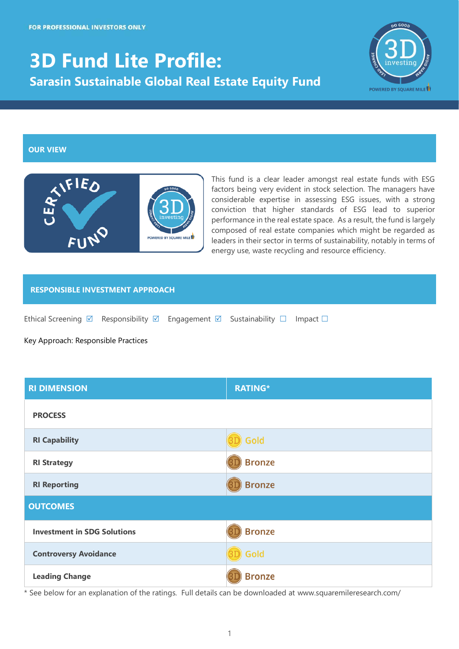# **3D Fund Lite Profile: Sarasin Sustainable Global Real Estate Equity Fund**



#### **OUR VIEW**



This fund is a clear leader amongst real estate funds with ESG factors being very evident in stock selection. The managers have considerable expertise in assessing ESG issues, with a strong conviction that higher standards of ESG lead to superior performance in the real estate space. As a result, the fund is largely composed of real estate companies which might be regarded as leaders in their sector in terms of sustainability, notably in terms of energy use, waste recycling and resource efficiency.

#### **RESPONSIBLE INVESTMENT APPROACH**

Ethical Screening  $\boxtimes$  Responsibility  $\boxtimes$  Engagement  $\boxtimes$  Sustainability  $\square$  Impact  $\square$ 

Key Approach: Responsible Practices

| <b>RI DIMENSION</b>                | <b>RATING*</b> |  |  |  |
|------------------------------------|----------------|--|--|--|
| <b>PROCESS</b>                     |                |  |  |  |
| <b>RI Capability</b>               | Gold           |  |  |  |
| <b>RI Strategy</b>                 | <b>Bronze</b>  |  |  |  |
| <b>RI Reporting</b>                | <b>Bronze</b>  |  |  |  |
| <b>OUTCOMES</b>                    |                |  |  |  |
| <b>Investment in SDG Solutions</b> | <b>Bronze</b>  |  |  |  |
| <b>Controversy Avoidance</b>       | Gold           |  |  |  |
| <b>Leading Change</b>              | <b>Bronze</b>  |  |  |  |

\* See below for an explanation of the ratings. Full details can be downloaded at www.squaremileresearch.com/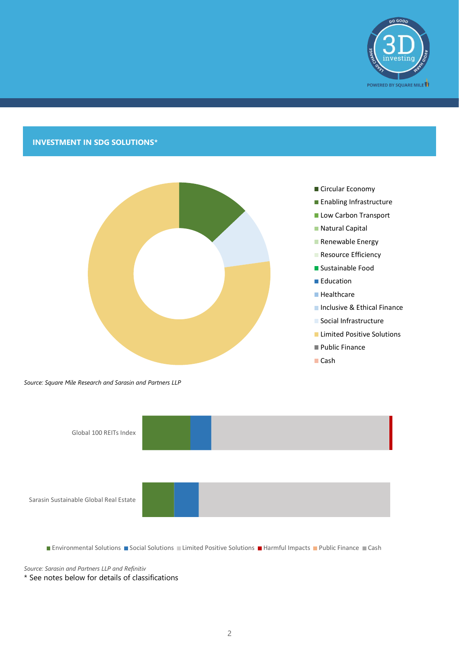

## **INVESTMENT IN SDG SOLUTIONS\***



*Source: Square Mile Research and Sarasin and Partners LLP*



- **Enabling Infrastructure**
- Low Carbon Transport
- **Natural Capital**
- Renewable Energy
- Resource Efficiency
- Sustainable Food
- **Education**
- **Healthcare**
- **Inclusive & Ethical Finance**
- **Social Infrastructure**
- **Limited Positive Solutions**
- **Public Finance**
- Cash



**■ Environmental Solutions ■ Social Solutions ■ Limited Positive Solutions ■ Harmful Impacts ■ Public Finance ■ Cash** 

*Source: Sarasin and Partners LLP and Refinitiv*

\* See notes below for details of classifications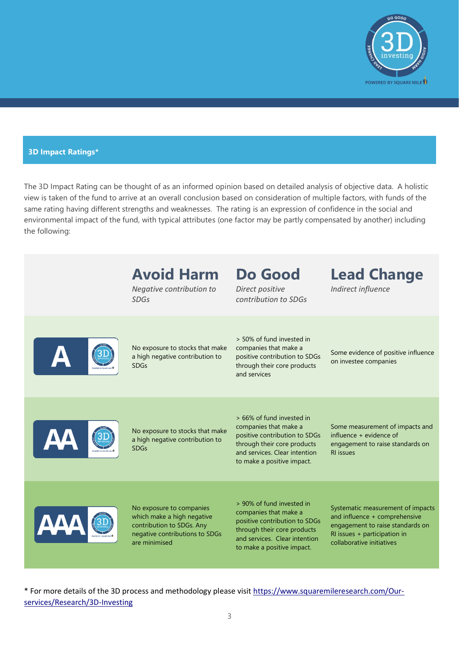

### **3D Impact Ratings\***

The 3D Impact Rating can be thought of as an informed opinion based on detailed analysis of objective data. A holistic view is taken of the fund to arrive at an overall conclusion based on consideration of multiple factors, with funds of the same rating having different strengths and weaknesses. The rating is an expression of confidence in the social and environmental impact of the fund, with typical attributes (one factor may be partly compensated by another) including the following:

| <b>Avoid Harm</b><br>Negative contribution to<br><b>SDGs</b>                                                                           | Do Good<br>Direct positive<br>contribution to SDGs                                                                                                                                | <b>Lead Change</b><br>Indirect influence                                                                                                                            |
|----------------------------------------------------------------------------------------------------------------------------------------|-----------------------------------------------------------------------------------------------------------------------------------------------------------------------------------|---------------------------------------------------------------------------------------------------------------------------------------------------------------------|
| No exposure to stocks that make<br>a high negative contribution to<br><b>SDGs</b>                                                      | > 50% of fund invested in<br>companies that make a<br>positive contribution to SDGs<br>through their core products<br>and services                                                | Some evidence of positive influence<br>on investee companies                                                                                                        |
| No exposure to stocks that make<br>a high negative contribution to<br><b>SDGs</b>                                                      | > 66% of fund invested in<br>companies that make a<br>positive contribution to SDGs<br>through their core products<br>and services. Clear intention<br>to make a positive impact. | Some measurement of impacts and<br>influence + evidence of<br>engagement to raise standards on<br><b>RI</b> issues                                                  |
| No exposure to companies<br>which make a high negative<br>contribution to SDGs. Any<br>negative contributions to SDGs<br>are minimised | > 90% of fund invested in<br>companies that make a<br>positive contribution to SDGs<br>through their core products<br>and services. Clear intention<br>to make a positive impact. | Systematic measurement of impacts<br>and influence + comprehensive<br>engagement to raise standards on<br>RI issues + participation in<br>collaborative initiatives |

\* For more details of the 3D process and methodology please visi[t https://www.squaremileresearch.com/Our](https://www.squaremileresearch.com/Our-services/Research/3D-Investing)[services/Research/3D-Investing](https://www.squaremileresearch.com/Our-services/Research/3D-Investing)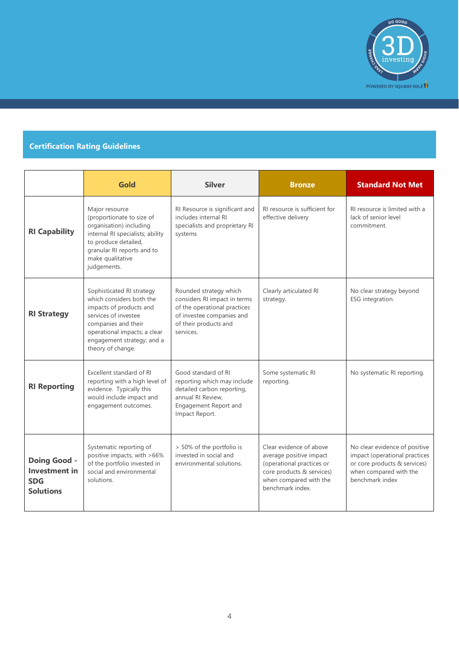

## **Certification Rating Guidelines**

|                                                                               | Gold                                                                                                                                                                                                               | <b>Silver</b>                                                                                                                                             | <b>Bronze</b>                                                                                                                                              | <b>Standard Not Met</b>                                                                                                                     |
|-------------------------------------------------------------------------------|--------------------------------------------------------------------------------------------------------------------------------------------------------------------------------------------------------------------|-----------------------------------------------------------------------------------------------------------------------------------------------------------|------------------------------------------------------------------------------------------------------------------------------------------------------------|---------------------------------------------------------------------------------------------------------------------------------------------|
| <b>RI Capability</b>                                                          | Major resource<br>(proportionate to size of<br>organisation) including<br>internal RI specialists; ability<br>to produce detailed,<br>granular RI reports and to<br>make qualitative<br>judgements.                | RI Resource is significant and<br>includes internal RI<br>specialists and proprietary RI<br>systems                                                       | RI resource is sufficient for<br>effective delivery                                                                                                        | RI resource is limited with a<br>lack of senior level<br>commitment.                                                                        |
| <b>RI Strategy</b>                                                            | Sophisticated RI strategy<br>which considers both the<br>impacts of products and<br>services of investee<br>companies and their<br>operational impacts; a clear<br>engagement strategy; and a<br>theory of change. | Rounded strategy which<br>considers RI impact in terms<br>of the operational practices<br>of investee companies and<br>of their products and<br>services. | Clearly articulated RI<br>strategy.                                                                                                                        | No clear strategy beyond<br>ESG integration.                                                                                                |
| <b>RI Reporting</b>                                                           | Excellent standard of RI<br>reporting with a high level of<br>evidence. Typically this<br>would include impact and<br>engagement outcomes.                                                                         | Good standard of RI<br>reporting which may include<br>detailed carbon reporting,<br>annual RI Review.<br>Engagement Report and<br>Impact Report.          | Some systematic RI<br>reporting.                                                                                                                           | No systematic RI reporting.                                                                                                                 |
| <b>Doing Good -</b><br><b>Investment</b> in<br><b>SDG</b><br><b>Solutions</b> | Systematic reporting of<br>positive impacts, with >66%<br>of the portfolio invested in<br>social and environmental<br>solutions.                                                                                   | > 50% of the portfolio is<br>invested in social and<br>environmental solutions.                                                                           | Clear evidence of above<br>average positive impact<br>(operational practices or<br>core products & services)<br>when compared with the<br>benchmark index. | No clear evidence of positive<br>impact (operational practices<br>or core products & services)<br>when compared with the<br>benchmark index |